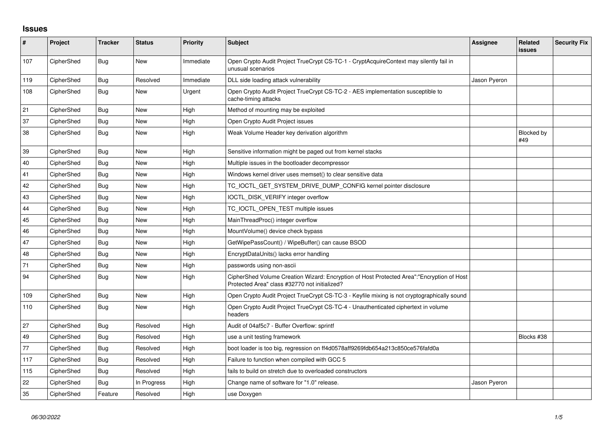## **Issues**

| $\sharp$ | Project    | <b>Tracker</b> | <b>Status</b> | Priority  | <b>Subject</b>                                                                                                                             | <b>Assignee</b> | Related<br>issues | <b>Security Fix</b> |
|----------|------------|----------------|---------------|-----------|--------------------------------------------------------------------------------------------------------------------------------------------|-----------------|-------------------|---------------------|
| 107      | CipherShed | <b>Bug</b>     | <b>New</b>    | Immediate | Open Crypto Audit Project TrueCrypt CS-TC-1 - CryptAcquireContext may silently fail in<br>unusual scenarios                                |                 |                   |                     |
| 119      | CipherShed | Bug            | Resolved      | Immediate | DLL side loading attack vulnerability                                                                                                      | Jason Pyeron    |                   |                     |
| 108      | CipherShed | Bug            | <b>New</b>    | Urgent    | Open Crypto Audit Project TrueCrypt CS-TC-2 - AES implementation susceptible to<br>cache-timing attacks                                    |                 |                   |                     |
| 21       | CipherShed | Bug            | <b>New</b>    | High      | Method of mounting may be exploited                                                                                                        |                 |                   |                     |
| 37       | CipherShed | <b>Bug</b>     | <b>New</b>    | High      | Open Crypto Audit Project issues                                                                                                           |                 |                   |                     |
| 38       | CipherShed | Bug            | <b>New</b>    | High      | Weak Volume Header key derivation algorithm                                                                                                |                 | Blocked by<br>#49 |                     |
| 39       | CipherShed | Bug            | <b>New</b>    | High      | Sensitive information might be paged out from kernel stacks                                                                                |                 |                   |                     |
| 40       | CipherShed | Bug            | <b>New</b>    | High      | Multiple issues in the bootloader decompressor                                                                                             |                 |                   |                     |
| 41       | CipherShed | <b>Bug</b>     | <b>New</b>    | High      | Windows kernel driver uses memset() to clear sensitive data                                                                                |                 |                   |                     |
| 42       | CipherShed | Bug            | <b>New</b>    | High      | TC_IOCTL_GET_SYSTEM_DRIVE_DUMP_CONFIG kernel pointer disclosure                                                                            |                 |                   |                     |
| 43       | CipherShed | <b>Bug</b>     | <b>New</b>    | High      | IOCTL_DISK_VERIFY integer overflow                                                                                                         |                 |                   |                     |
| 44       | CipherShed | Bug            | <b>New</b>    | High      | TC_IOCTL_OPEN_TEST multiple issues                                                                                                         |                 |                   |                     |
| 45       | CipherShed | Bug            | <b>New</b>    | High      | MainThreadProc() integer overflow                                                                                                          |                 |                   |                     |
| 46       | CipherShed | <b>Bug</b>     | New           | High      | MountVolume() device check bypass                                                                                                          |                 |                   |                     |
| 47       | CipherShed | <b>Bug</b>     | <b>New</b>    | High      | GetWipePassCount() / WipeBuffer() can cause BSOD                                                                                           |                 |                   |                     |
| 48       | CipherShed | <b>Bug</b>     | <b>New</b>    | High      | EncryptDataUnits() lacks error handling                                                                                                    |                 |                   |                     |
| 71       | CipherShed | Bug            | <b>New</b>    | High      | passwords using non-ascii                                                                                                                  |                 |                   |                     |
| 94       | CipherShed | Bug            | <b>New</b>    | High      | CipherShed Volume Creation Wizard: Encryption of Host Protected Area":"Encryption of Host<br>Protected Area" class #32770 not initialized? |                 |                   |                     |
| 109      | CipherShed | <b>Bug</b>     | <b>New</b>    | High      | Open Crypto Audit Project TrueCrypt CS-TC-3 - Keyfile mixing is not cryptographically sound                                                |                 |                   |                     |
| 110      | CipherShed | Bug            | <b>New</b>    | High      | Open Crypto Audit Project TrueCrypt CS-TC-4 - Unauthenticated ciphertext in volume<br>headers                                              |                 |                   |                     |
| 27       | CipherShed | Bug            | Resolved      | High      | Audit of 04af5c7 - Buffer Overflow: sprintf                                                                                                |                 |                   |                     |
| 49       | CipherShed | <b>Bug</b>     | Resolved      | High      | use a unit testing framework                                                                                                               |                 | Blocks #38        |                     |
| 77       | CipherShed | <b>Bug</b>     | Resolved      | High      | boot loader is too big, regression on ff4d0578aff9269fdb654a213c850ce576fafd0a                                                             |                 |                   |                     |
| 117      | CipherShed | <b>Bug</b>     | Resolved      | High      | Failure to function when compiled with GCC 5                                                                                               |                 |                   |                     |
| 115      | CipherShed | <b>Bug</b>     | Resolved      | High      | fails to build on stretch due to overloaded constructors                                                                                   |                 |                   |                     |
| 22       | CipherShed | Bug            | In Progress   | High      | Change name of software for "1.0" release.                                                                                                 | Jason Pyeron    |                   |                     |
| 35       | CipherShed | Feature        | Resolved      | High      | use Doxygen                                                                                                                                |                 |                   |                     |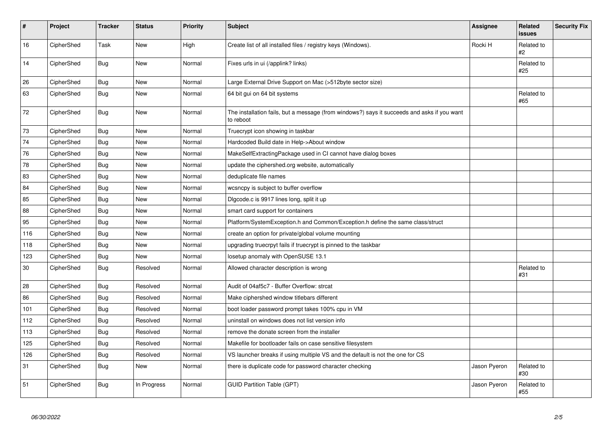| $\pmb{\sharp}$ | Project    | <b>Tracker</b> | <b>Status</b> | <b>Priority</b> | <b>Subject</b>                                                                                           | Assignee     | <b>Related</b><br><b>issues</b> | <b>Security Fix</b> |
|----------------|------------|----------------|---------------|-----------------|----------------------------------------------------------------------------------------------------------|--------------|---------------------------------|---------------------|
| 16             | CipherShed | Task           | <b>New</b>    | High            | Create list of all installed files / registry keys (Windows).                                            | Rocki H      | Related to<br>#2                |                     |
| 14             | CipherShed | Bug            | <b>New</b>    | Normal          | Fixes urls in ui (/applink? links)                                                                       |              | Related to<br>#25               |                     |
| 26             | CipherShed | <b>Bug</b>     | New           | Normal          | Large External Drive Support on Mac (>512byte sector size)                                               |              |                                 |                     |
| 63             | CipherShed | <b>Bug</b>     | <b>New</b>    | Normal          | 64 bit gui on 64 bit systems                                                                             |              | Related to<br>#65               |                     |
| $72\,$         | CipherShed | Bug            | New           | Normal          | The installation fails, but a message (from windows?) says it succeeds and asks if you want<br>to reboot |              |                                 |                     |
| 73             | CipherShed | <b>Bug</b>     | <b>New</b>    | Normal          | Truecrypt icon showing in taskbar                                                                        |              |                                 |                     |
| 74             | CipherShed | Bug            | New           | Normal          | Hardcoded Build date in Help->About window                                                               |              |                                 |                     |
| 76             | CipherShed | Bug            | New           | Normal          | MakeSelfExtractingPackage used in CI cannot have dialog boxes                                            |              |                                 |                     |
| 78             | CipherShed | <b>Bug</b>     | <b>New</b>    | Normal          | update the ciphershed org website, automatically                                                         |              |                                 |                     |
| 83             | CipherShed | Bug            | <b>New</b>    | Normal          | deduplicate file names                                                                                   |              |                                 |                     |
| 84             | CipherShed | Bug            | New           | Normal          | wcsncpy is subject to buffer overflow                                                                    |              |                                 |                     |
| 85             | CipherShed | <b>Bug</b>     | <b>New</b>    | Normal          | Digcode.c is 9917 lines long, split it up                                                                |              |                                 |                     |
| 88             | CipherShed | Bug            | <b>New</b>    | Normal          | smart card support for containers                                                                        |              |                                 |                     |
| 95             | CipherShed | <b>Bug</b>     | <b>New</b>    | Normal          | Platform/SystemException.h and Common/Exception.h define the same class/struct                           |              |                                 |                     |
| 116            | CipherShed | <b>Bug</b>     | <b>New</b>    | Normal          | create an option for private/global volume mounting                                                      |              |                                 |                     |
| 118            | CipherShed | <b>Bug</b>     | New           | Normal          | upgrading truecrpyt fails if truecrypt is pinned to the taskbar                                          |              |                                 |                     |
| 123            | CipherShed | <b>Bug</b>     | New           | Normal          | losetup anomaly with OpenSUSE 13.1                                                                       |              |                                 |                     |
| 30             | CipherShed | Bug            | Resolved      | Normal          | Allowed character description is wrong                                                                   |              | Related to<br>#31               |                     |
| 28             | CipherShed | Bug            | Resolved      | Normal          | Audit of 04af5c7 - Buffer Overflow: strcat                                                               |              |                                 |                     |
| 86             | CipherShed | Bug            | Resolved      | Normal          | Make ciphershed window titlebars different                                                               |              |                                 |                     |
| 101            | CipherShed | <b>Bug</b>     | Resolved      | Normal          | boot loader password prompt takes 100% cpu in VM                                                         |              |                                 |                     |
| 112            | CipherShed | Bug            | Resolved      | Normal          | uninstall on windows does not list version info                                                          |              |                                 |                     |
| 113            | CipherShed | Bug            | Resolved      | Normal          | remove the donate screen from the installer                                                              |              |                                 |                     |
| 125            | CipherShed | Bug            | Resolved      | Normal          | Makefile for bootloader fails on case sensitive filesystem                                               |              |                                 |                     |
| 126            | CipherShed | <b>Bug</b>     | Resolved      | Normal          | VS launcher breaks if using multiple VS and the default is not the one for CS                            |              |                                 |                     |
| 31             | CipherShed | Bug            | New           | Normal          | there is duplicate code for password character checking                                                  | Jason Pyeron | Related to<br>#30               |                     |
| 51             | CipherShed | Bug            | In Progress   | Normal          | <b>GUID Partition Table (GPT)</b>                                                                        | Jason Pyeron | Related to<br>#55               |                     |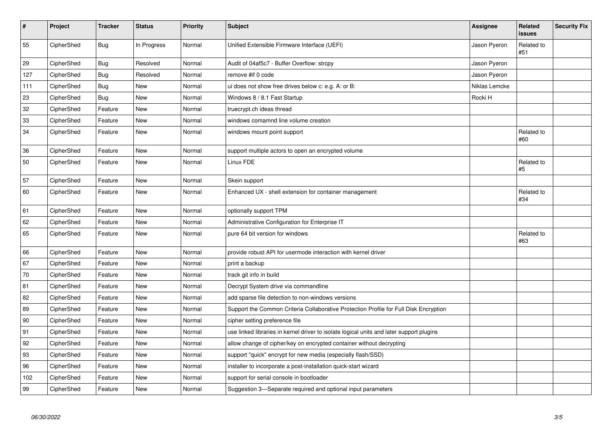| $\vert$ # | Project    | <b>Tracker</b> | <b>Status</b> | <b>Priority</b> | <b>Subject</b>                                                                           | <b>Assignee</b> | Related<br>issues | <b>Security Fix</b> |
|-----------|------------|----------------|---------------|-----------------|------------------------------------------------------------------------------------------|-----------------|-------------------|---------------------|
| 55        | CipherShed | <b>Bug</b>     | In Progress   | Normal          | Unified Extensible Firmware Interface (UEFI)                                             | Jason Pyeron    | Related to<br>#51 |                     |
| 29        | CipherShed | <b>Bug</b>     | Resolved      | Normal          | Audit of 04af5c7 - Buffer Overflow: strcpy                                               | Jason Pyeron    |                   |                     |
| 127       | CipherShed | <b>Bug</b>     | Resolved      | Normal          | remove #if 0 code                                                                        | Jason Pyeron    |                   |                     |
| 111       | CipherShed | <b>Bug</b>     | <b>New</b>    | Normal          | ui does not show free drives below c: e.g. A: or B:                                      | Niklas Lemcke   |                   |                     |
| 23        | CipherShed | <b>Bug</b>     | New           | Normal          | Windows 8 / 8.1 Fast Startup                                                             | Rocki H         |                   |                     |
| 32        | CipherShed | Feature        | <b>New</b>    | Normal          | truecrypt.ch ideas thread                                                                |                 |                   |                     |
| 33        | CipherShed | Feature        | <b>New</b>    | Normal          | windows comamnd line volume creation                                                     |                 |                   |                     |
| 34        | CipherShed | Feature        | New           | Normal          | windows mount point support                                                              |                 | Related to<br>#60 |                     |
| 36        | CipherShed | Feature        | <b>New</b>    | Normal          | support multiple actors to open an encrypted volume                                      |                 |                   |                     |
| 50        | CipherShed | Feature        | New           | Normal          | Linux FDE                                                                                |                 | Related to<br>#5  |                     |
| 57        | CipherShed | Feature        | <b>New</b>    | Normal          | Skein support                                                                            |                 |                   |                     |
| 60        | CipherShed | Feature        | New           | Normal          | Enhanced UX - shell extension for container management                                   |                 | Related to<br>#34 |                     |
| 61        | CipherShed | Feature        | <b>New</b>    | Normal          | optionally support TPM                                                                   |                 |                   |                     |
| 62        | CipherShed | Feature        | <b>New</b>    | Normal          | Administrative Configuration for Enterprise IT                                           |                 |                   |                     |
| 65        | CipherShed | Feature        | New           | Normal          | pure 64 bit version for windows                                                          |                 | Related to<br>#63 |                     |
| 66        | CipherShed | Feature        | New           | Normal          | provide robust API for usermode interaction with kernel driver                           |                 |                   |                     |
| 67        | CipherShed | Feature        | New           | Normal          | print a backup                                                                           |                 |                   |                     |
| 70        | CipherShed | Feature        | <b>New</b>    | Normal          | track git info in build                                                                  |                 |                   |                     |
| 81        | CipherShed | Feature        | <b>New</b>    | Normal          | Decrypt System drive via commandline                                                     |                 |                   |                     |
| 82        | CipherShed | Feature        | New           | Normal          | add sparse file detection to non-windows versions                                        |                 |                   |                     |
| 89        | CipherShed | Feature        | New           | Normal          | Support the Common Criteria Collaborative Protection Profile for Full Disk Encryption    |                 |                   |                     |
| 90        | CipherShed | Feature        | <b>New</b>    | Normal          | cipher setting preference file                                                           |                 |                   |                     |
| 91        | CipherShed | Feature        | <b>New</b>    | Normal          | use linked libraries in kernel driver to isolate logical units and later support plugins |                 |                   |                     |
| 92        | CipherShed | Feature        | New           | Normal          | allow change of cipher/key on encrypted container without decrypting                     |                 |                   |                     |
| 93        | CipherShed | Feature        | <b>New</b>    | Normal          | support "quick" encrypt for new media (especially flash/SSD)                             |                 |                   |                     |
| 96        | CipherShed | Feature        | <b>New</b>    | Normal          | installer to incorporate a post-installation quick-start wizard                          |                 |                   |                     |
| 102       | CipherShed | Feature        | <b>New</b>    | Normal          | support for serial console in bootloader                                                 |                 |                   |                     |
| 99        | CipherShed | Feature        | <b>New</b>    | Normal          | Suggestion 3—Separate required and optional input parameters                             |                 |                   |                     |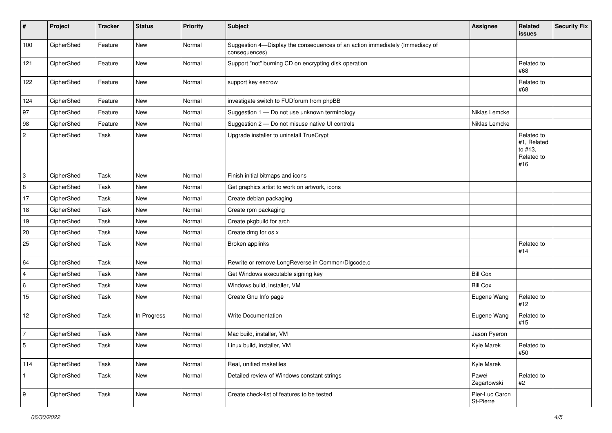| $\pmb{\#}$       | Project    | <b>Tracker</b> | <b>Status</b> | <b>Priority</b> | Subject                                                                                       | Assignee                    | Related<br>issues                                         | <b>Security Fix</b> |
|------------------|------------|----------------|---------------|-----------------|-----------------------------------------------------------------------------------------------|-----------------------------|-----------------------------------------------------------|---------------------|
| 100              | CipherShed | Feature        | New           | Normal          | Suggestion 4-Display the consequences of an action immediately (Immediacy of<br>consequences) |                             |                                                           |                     |
| 121              | CipherShed | Feature        | New           | Normal          | Support "not" burning CD on encrypting disk operation                                         |                             | Related to<br>#68                                         |                     |
| 122              | CipherShed | Feature        | New           | Normal          | support key escrow                                                                            |                             | Related to<br>#68                                         |                     |
| 124              | CipherShed | Feature        | New           | Normal          | investigate switch to FUDforum from phpBB                                                     |                             |                                                           |                     |
| 97               | CipherShed | Feature        | New           | Normal          | Suggestion 1 - Do not use unknown terminology                                                 | Niklas Lemcke               |                                                           |                     |
| 98               | CipherShed | Feature        | New           | Normal          | Suggestion 2 - Do not misuse native UI controls                                               | Niklas Lemcke               |                                                           |                     |
| $\sqrt{2}$       | CipherShed | Task           | New           | Normal          | Upgrade installer to uninstall TrueCrypt                                                      |                             | Related to<br>#1, Related<br>to #13,<br>Related to<br>#16 |                     |
| 3                | CipherShed | Task           | <b>New</b>    | Normal          | Finish initial bitmaps and icons                                                              |                             |                                                           |                     |
| 8                | CipherShed | Task           | New           | Normal          | Get graphics artist to work on artwork, icons                                                 |                             |                                                           |                     |
| 17               | CipherShed | Task           | New           | Normal          | Create debian packaging                                                                       |                             |                                                           |                     |
| 18               | CipherShed | Task           | New           | Normal          | Create rpm packaging                                                                          |                             |                                                           |                     |
| 19               | CipherShed | Task           | New           | Normal          | Create pkgbuild for arch                                                                      |                             |                                                           |                     |
| $20\,$           | CipherShed | Task           | <b>New</b>    | Normal          | Create dmg for os x                                                                           |                             |                                                           |                     |
| 25               | CipherShed | Task           | New           | Normal          | Broken applinks                                                                               |                             | Related to<br>#14                                         |                     |
| 64               | CipherShed | Task           | <b>New</b>    | Normal          | Rewrite or remove LongReverse in Common/Dlgcode.c                                             |                             |                                                           |                     |
| $\overline{4}$   | CipherShed | Task           | New           | Normal          | Get Windows executable signing key                                                            | <b>Bill Cox</b>             |                                                           |                     |
| 6                | CipherShed | Task           | New           | Normal          | Windows build, installer, VM                                                                  | <b>Bill Cox</b>             |                                                           |                     |
| 15               | CipherShed | Task           | New           | Normal          | Create Gnu Info page                                                                          | Eugene Wang                 | Related to<br>#12                                         |                     |
| 12               | CipherShed | Task           | In Progress   | Normal          | Write Documentation                                                                           | Eugene Wang                 | Related to<br>#15                                         |                     |
| $\overline{7}$   | CipherShed | Task           | New           | Normal          | Mac build, installer, VM                                                                      | Jason Pyeron                |                                                           |                     |
| 5                | CipherShed | Task           | New           | Normal          | Linux build, installer, VM                                                                    | Kyle Marek                  | Related to<br>#50                                         |                     |
| 114              | CipherShed | Task           | New           | Normal          | Real, unified makefiles                                                                       | Kyle Marek                  |                                                           |                     |
|                  | CipherShed | Task           | New           | Normal          | Detailed review of Windows constant strings                                                   | Paweł<br>Zegartowski        | Related to<br>#2                                          |                     |
| $\boldsymbol{9}$ | CipherShed | Task           | New           | Normal          | Create check-list of features to be tested                                                    | Pier-Luc Caron<br>St-Pierre |                                                           |                     |